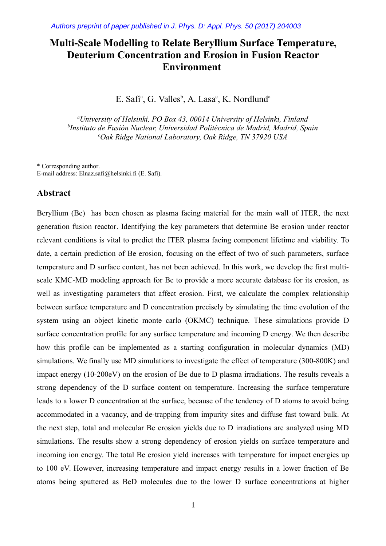# **Multi-Scale Modelling to Relate Beryllium Surface Temperature, Deuterium Concentration and Erosion in Fusion Reactor Environment**

E. Safi<sup>a</sup>, G. Valles<sup>b</sup>, A. Lasa<sup>c</sup>, K. Nordlund<sup>a</sup>

*<sup>a</sup>University of Helsinki, PO Box 43, 00014 University of Helsinki, Finland b Instituto de Fusión Nuclear, Universidad Politécnica de Madrid, Madrid, Spain <sup>c</sup>Oak Ridge National Laboratory, Oak Ridge, TN 37920 USA*

\* Corresponding author. E-mail address: Elnaz.safi@helsinki.fi (E. Safi).

#### **Abstract**

Beryllium (Be) has been chosen as plasma facing material for the main wall of ITER, the next generation fusion reactor. Identifying the key parameters that determine Be erosion under reactor relevant conditions is vital to predict the ITER plasma facing component lifetime and viability. To date, a certain prediction of Be erosion, focusing on the effect of two of such parameters, surface temperature and D surface content, has not been achieved. In this work, we develop the first multiscale KMC-MD modeling approach for Be to provide a more accurate database for its erosion, as well as investigating parameters that affect erosion. First, we calculate the complex relationship between surface temperature and D concentration precisely by simulating the time evolution of the system using an object kinetic monte carlo (OKMC) technique. These simulations provide D surface concentration profile for any surface temperature and incoming D energy. We then describe how this profile can be implemented as a starting configuration in molecular dynamics (MD) simulations. We finally use MD simulations to investigate the effect of temperature (300-800K) and impact energy (10-200eV) on the erosion of Be due to D plasma irradiations. The results reveals a strong dependency of the D surface content on temperature. Increasing the surface temperature leads to a lower D concentration at the surface, because of the tendency of D atoms to avoid being accommodated in a vacancy, and de-trapping from impurity sites and diffuse fast toward bulk. At the next step, total and molecular Be erosion yields due to D irradiations are analyzed using MD simulations. The results show a strong dependency of erosion yields on surface temperature and incoming ion energy. The total Be erosion yield increases with temperature for impact energies up to 100 eV. However, increasing temperature and impact energy results in a lower fraction of Be atoms being sputtered as BeD molecules due to the lower D surface concentrations at higher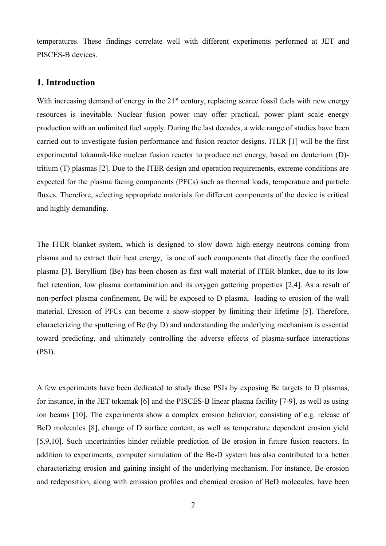temperatures. These findings correlate well with different experiments performed at JET and PISCES-B devices.

## **1. Introduction**

With increasing demand of energy in the  $21<sup>st</sup>$  century, replacing scarce fossil fuels with new energy resources is inevitable. Nuclear fusion power may offer practical, power plant scale energy production with an unlimited fuel supply. During the last decades, a wide range of studies have been carried out to investigate fusion performance and fusion reactor designs. ITER [1] will be the first experimental tokamak-like nuclear fusion reactor to produce net energy, based on deuterium (D) tritium (T) plasmas [2]. Due to the ITER design and operation requirements, extreme conditions are expected for the plasma facing components (PFCs) such as thermal loads, temperature and particle fluxes. Therefore, selecting appropriate materials for different components of the device is critical and highly demanding.

The ITER blanket system, which is designed to slow down high-energy neutrons coming from plasma and to extract their heat energy, is one of such components that directly face the confined plasma [3]. Beryllium (Be) has been chosen as first wall material of ITER blanket, due to its low fuel retention, low plasma contamination and its oxygen gattering properties [2,4]. As a result of non-perfect plasma confinement, Be will be exposed to D plasma, leading to erosion of the wall material. Erosion of PFCs can become a show-stopper by limiting their lifetime [5]. Therefore, characterizing the sputtering of Be (by D) and understanding the underlying mechanism is essential toward predicting, and ultimately controlling the adverse effects of plasma-surface interactions (PSI).

A few experiments have been dedicated to study these PSIs by exposing Be targets to D plasmas, for instance, in the JET tokamak [6] and the PISCES-B linear plasma facility [7-9], as well as using ion beams [10]. The experiments show a complex erosion behavior; consisting of e.g. release of BeD molecules [8], change of D surface content, as well as temperature dependent erosion yield [5,9,10]. Such uncertainties hinder reliable prediction of Be erosion in future fusion reactors. In addition to experiments, computer simulation of the Be-D system has also contributed to a better characterizing erosion and gaining insight of the underlying mechanism. For instance, Be erosion and redeposition, along with emission profiles and chemical erosion of BeD molecules, have been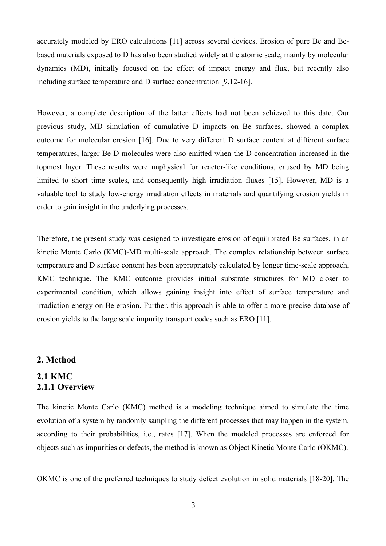accurately modeled by ERO calculations [11] across several devices. Erosion of pure Be and Bebased materials exposed to D has also been studied widely at the atomic scale, mainly by molecular dynamics (MD), initially focused on the effect of impact energy and flux, but recently also including surface temperature and D surface concentration [9,12-16].

However, a complete description of the latter effects had not been achieved to this date. Our previous study, MD simulation of cumulative D impacts on Be surfaces, showed a complex outcome for molecular erosion [16]. Due to very different D surface content at different surface temperatures, larger Be-D molecules were also emitted when the D concentration increased in the topmost layer. These results were unphysical for reactor-like conditions, caused by MD being limited to short time scales, and consequently high irradiation fluxes [15]. However, MD is a valuable tool to study low-energy irradiation effects in materials and quantifying erosion yields in order to gain insight in the underlying processes.

Therefore, the present study was designed to investigate erosion of equilibrated Be surfaces, in an kinetic Monte Carlo (KMC)-MD multi-scale approach. The complex relationship between surface temperature and D surface content has been appropriately calculated by longer time-scale approach, KMC technique. The KMC outcome provides initial substrate structures for MD closer to experimental condition, which allows gaining insight into effect of surface temperature and irradiation energy on Be erosion. Further, this approach is able to offer a more precise database of erosion yields to the large scale impurity transport codes such as ERO [11].

### **2. Method**

# **2.1 KMC 2.1.1 Overview**

The kinetic Monte Carlo (KMC) method is a modeling technique aimed to simulate the time evolution of a system by randomly sampling the different processes that may happen in the system, according to their probabilities, i.e., rates [17]. When the modeled processes are enforced for objects such as impurities or defects, the method is known as Object Kinetic Monte Carlo (OKMC).

OKMC is one of the preferred techniques to study defect evolution in solid materials [18-20]. The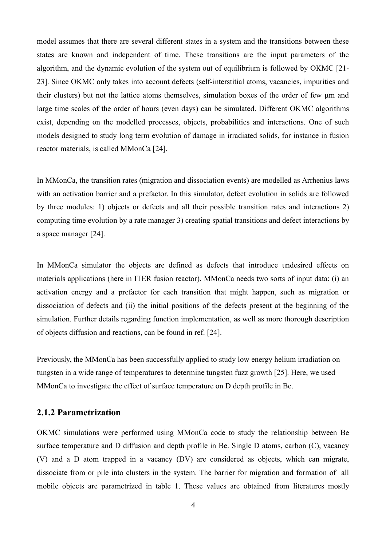model assumes that there are several different states in a system and the transitions between these states are known and independent of time. These transitions are the input parameters of the algorithm, and the dynamic evolution of the system out of equilibrium is followed by OKMC [21- 23]. Since OKMC only takes into account defects (self-interstitial atoms, vacancies, impurities and their clusters) but not the lattice atoms themselves, simulation boxes of the order of few μm and large time scales of the order of hours (even days) can be simulated. Different OKMC algorithms exist, depending on the modelled processes, objects, probabilities and interactions. One of such models designed to study long term evolution of damage in irradiated solids, for instance in fusion reactor materials, is called MMonCa [24].

In MMonCa, the transition rates (migration and dissociation events) are modelled as Arrhenius laws with an activation barrier and a prefactor. In this simulator, defect evolution in solids are followed by three modules: 1) objects or defects and all their possible transition rates and interactions 2) computing time evolution by a rate manager 3) creating spatial transitions and defect interactions by a space manager [24].

In MMonCa simulator the objects are defined as defects that introduce undesired effects on materials applications (here in ITER fusion reactor). MMonCa needs two sorts of input data: (i) an activation energy and a prefactor for each transition that might happen, such as migration or dissociation of defects and (ii) the initial positions of the defects present at the beginning of the simulation. Further details regarding function implementation, as well as more thorough description of objects diffusion and reactions, can be found in ref. [24].

Previously, the MMonCa has been successfully applied to study low energy helium irradiation on tungsten in a wide range of temperatures to determine tungsten fuzz growth [25]. Here, we used MMonCa to investigate the effect of surface temperature on D depth profile in Be.

### **2.1.2 Parametrization**

OKMC simulations were performed using MMonCa code to study the relationship between Be surface temperature and D diffusion and depth profile in Be. Single D atoms, carbon (C), vacancy (V) and a D atom trapped in a vacancy (DV) are considered as objects, which can migrate, dissociate from or pile into clusters in the system. The barrier for migration and formation of all mobile objects are parametrized in table 1. These values are obtained from literatures mostly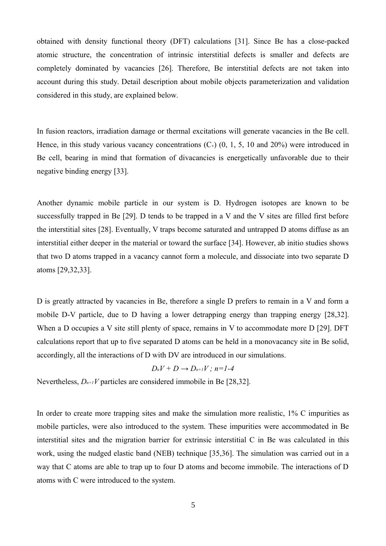obtained with density functional theory (DFT) calculations [31]. Since Be has a close-packed atomic structure, the concentration of intrinsic interstitial defects is smaller and defects are completely dominated by vacancies [26]. Therefore, Be interstitial defects are not taken into account during this study. Detail description about mobile objects parameterization and validation considered in this study, are explained below.

In fusion reactors, irradiation damage or thermal excitations will generate vacancies in the Be cell. Hence, in this study various vacancy concentrations  $(C_v)$   $(0, 1, 5, 10, 20\%)$  were introduced in Be cell, bearing in mind that formation of divacancies is energetically unfavorable due to their negative binding energy [33].

Another dynamic mobile particle in our system is D. Hydrogen isotopes are known to be successfully trapped in Be [29]. D tends to be trapped in a V and the V sites are filled first before the interstitial sites [28]. Eventually, V traps become saturated and untrapped D atoms diffuse as an interstitial either deeper in the material or toward the surface [34]. However, ab initio studies shows that two D atoms trapped in a vacancy cannot form a molecule, and dissociate into two separate D atoms [29,32,33].

D is greatly attracted by vacancies in Be, therefore a single D prefers to remain in a V and form a mobile D-V particle, due to D having a lower detrapping energy than trapping energy [28,32]. When a D occupies a V site still plenty of space, remains in V to accommodate more D [29]. DFT calculations report that up to five separated D atoms can be held in a monovacancy site in Be solid, accordingly, all the interactions of D with DV are introduced in our simulations.

$$
D_nV+D\longrightarrow D_{n+1}V\,;\,n\!=\!1\text{-}4
$$

Nevertheless,  $D_{n+1}V$  particles are considered immobile in Be [28,32].

In order to create more trapping sites and make the simulation more realistic, 1% C impurities as mobile particles, were also introduced to the system. These impurities were accommodated in Be interstitial sites and the migration barrier for extrinsic interstitial C in Be was calculated in this work, using the nudged elastic band (NEB) technique [35,36]. The simulation was carried out in a way that C atoms are able to trap up to four D atoms and become immobile. The interactions of D atoms with C were introduced to the system.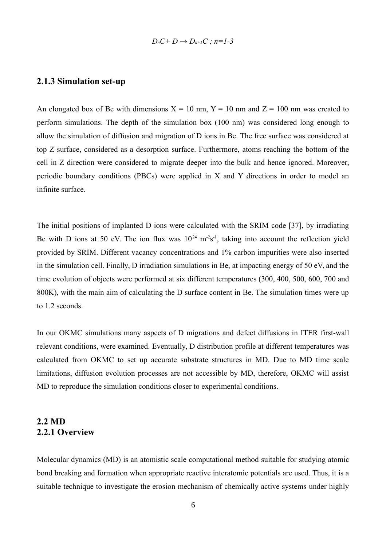$$
D_nC+D\to D_{n+1}C\;;\;n=1-3
$$

## **2.1.3 Simulation set-up**

An elongated box of Be with dimensions  $X = 10$  nm,  $Y = 10$  nm and  $Z = 100$  nm was created to perform simulations. The depth of the simulation box (100 nm) was considered long enough to allow the simulation of diffusion and migration of D ions in Be. The free surface was considered at top Z surface, considered as a desorption surface. Furthermore, atoms reaching the bottom of the cell in Z direction were considered to migrate deeper into the bulk and hence ignored. Moreover, periodic boundary conditions (PBCs) were applied in X and Y directions in order to model an infinite surface.

The initial positions of implanted D ions were calculated with the SRIM code [37], by irradiating Be with D ions at 50 eV. The ion flux was  $10^{24}$  m<sup>-2</sup>s<sup>-1</sup>, taking into account the reflection yield provided by SRIM. Different vacancy concentrations and 1% carbon impurities were also inserted in the simulation cell. Finally, D irradiation simulations in Be, at impacting energy of 50 eV, and the time evolution of objects were performed at six different temperatures (300, 400, 500, 600, 700 and 800K), with the main aim of calculating the D surface content in Be. The simulation times were up to 1.2 seconds.

In our OKMC simulations many aspects of D migrations and defect diffusions in ITER first-wall relevant conditions, were examined. Eventually, D distribution profile at different temperatures was calculated from OKMC to set up accurate substrate structures in MD. Due to MD time scale limitations, diffusion evolution processes are not accessible by MD, therefore, OKMC will assist MD to reproduce the simulation conditions closer to experimental conditions.

# **2.2 MD 2.2.1 Overview**

Molecular dynamics (MD) is an atomistic scale computational method suitable for studying atomic bond breaking and formation when appropriate reactive interatomic potentials are used. Thus, it is a suitable technique to investigate the erosion mechanism of chemically active systems under highly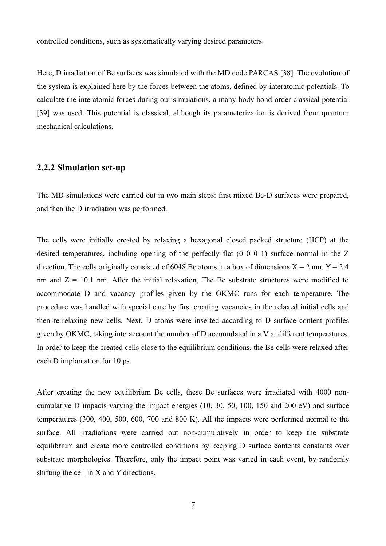controlled conditions, such as systematically varying desired parameters.

Here, D irradiation of Be surfaces was simulated with the MD code PARCAS [38]. The evolution of the system is explained here by the forces between the atoms, defined by interatomic potentials. To calculate the interatomic forces during our simulations, a many-body bond-order classical potential [39] was used. This potential is classical, although its parameterization is derived from quantum mechanical calculations.

### **2.2.2 Simulation set-up**

The MD simulations were carried out in two main steps: first mixed Be-D surfaces were prepared, and then the D irradiation was performed.

The cells were initially created by relaxing a hexagonal closed packed structure (HCP) at the desired temperatures, including opening of the perfectly flat (0 0 0 1) surface normal in the Z direction. The cells originally consisted of 6048 Be atoms in a box of dimensions  $X = 2$  nm,  $Y = 2.4$ nm and  $Z = 10.1$  nm. After the initial relaxation, The Be substrate structures were modified to accommodate D and vacancy profiles given by the OKMC runs for each temperature. The procedure was handled with special care by first creating vacancies in the relaxed initial cells and then re-relaxing new cells. Next, D atoms were inserted according to D surface content profiles given by OKMC, taking into account the number of D accumulated in a V at different temperatures. In order to keep the created cells close to the equilibrium conditions, the Be cells were relaxed after each D implantation for 10 ps.

After creating the new equilibrium Be cells, these Be surfaces were irradiated with 4000 noncumulative D impacts varying the impact energies (10, 30, 50, 100, 150 and 200 eV) and surface temperatures (300, 400, 500, 600, 700 and 800 K). All the impacts were performed normal to the surface. All irradiations were carried out non-cumulatively in order to keep the substrate equilibrium and create more controlled conditions by keeping D surface contents constants over substrate morphologies. Therefore, only the impact point was varied in each event, by randomly shifting the cell in X and Y directions.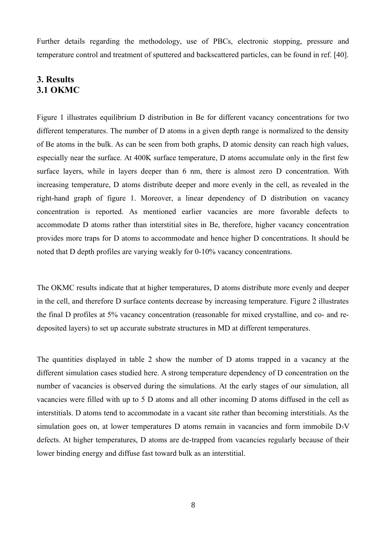Further details regarding the methodology, use of PBCs, electronic stopping, pressure and temperature control and treatment of sputtered and backscattered particles, can be found in ref. [40].

# **3. Results 3.1 OKMC**

Figure 1 illustrates equilibrium D distribution in Be for different vacancy concentrations for two different temperatures. The number of D atoms in a given depth range is normalized to the density of Be atoms in the bulk. As can be seen from both graphs, D atomic density can reach high values, especially near the surface. At 400K surface temperature, D atoms accumulate only in the first few surface layers, while in layers deeper than 6 nm, there is almost zero D concentration. With increasing temperature, D atoms distribute deeper and more evenly in the cell, as revealed in the right-hand graph of figure 1. Moreover, a linear dependency of D distribution on vacancy concentration is reported. As mentioned earlier vacancies are more favorable defects to accommodate D atoms rather than interstitial sites in Be, therefore, higher vacancy concentration provides more traps for D atoms to accommodate and hence higher D concentrations. It should be noted that D depth profiles are varying weakly for 0-10% vacancy concentrations.

The OKMC results indicate that at higher temperatures, D atoms distribute more evenly and deeper in the cell, and therefore D surface contents decrease by increasing temperature. Figure 2 illustrates the final D profiles at 5% vacancy concentration (reasonable for mixed crystalline, and co- and redeposited layers) to set up accurate substrate structures in MD at different temperatures.

The quantities displayed in table 2 show the number of D atoms trapped in a vacancy at the different simulation cases studied here. A strong temperature dependency of D concentration on the number of vacancies is observed during the simulations. At the early stages of our simulation, all vacancies were filled with up to 5 D atoms and all other incoming D atoms diffused in the cell as interstitials. D atoms tend to accommodate in a vacant site rather than becoming interstitials. As the simulation goes on, at lower temperatures  $D$  atoms remain in vacancies and form immobile  $D<sub>5</sub>V$ defects. At higher temperatures, D atoms are de-trapped from vacancies regularly because of their lower binding energy and diffuse fast toward bulk as an interstitial.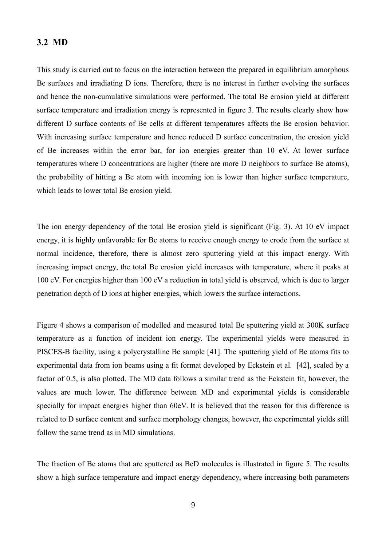#### **3.2 MD**

This study is carried out to focus on the interaction between the prepared in equilibrium amorphous Be surfaces and irradiating D ions. Therefore, there is no interest in further evolving the surfaces and hence the non-cumulative simulations were performed. The total Be erosion yield at different surface temperature and irradiation energy is represented in figure 3. The results clearly show how different D surface contents of Be cells at different temperatures affects the Be erosion behavior. With increasing surface temperature and hence reduced D surface concentration, the erosion yield of Be increases within the error bar, for ion energies greater than 10 eV. At lower surface temperatures where D concentrations are higher (there are more D neighbors to surface Be atoms), the probability of hitting a Be atom with incoming ion is lower than higher surface temperature, which leads to lower total Be erosion yield.

The ion energy dependency of the total Be erosion yield is significant (Fig. 3). At 10 eV impact energy, it is highly unfavorable for Be atoms to receive enough energy to erode from the surface at normal incidence, therefore, there is almost zero sputtering yield at this impact energy. With increasing impact energy, the total Be erosion yield increases with temperature, where it peaks at 100 eV. For energies higher than 100 eV a reduction in total yield is observed, which is due to larger penetration depth of D ions at higher energies, which lowers the surface interactions.

Figure 4 shows a comparison of modelled and measured total Be sputtering yield at 300K surface temperature as a function of incident ion energy. The experimental yields were measured in PISCES-B facility, using a polycrystalline Be sample [41]. The sputtering yield of Be atoms fits to experimental data from ion beams using a fit format developed by Eckstein et al. [42], scaled by a factor of 0.5, is also plotted. The MD data follows a similar trend as the Eckstein fit, however, the values are much lower. The difference between MD and experimental yields is considerable specially for impact energies higher than 60eV. It is believed that the reason for this difference is related to D surface content and surface morphology changes, however, the experimental yields still follow the same trend as in MD simulations.

The fraction of Be atoms that are sputtered as BeD molecules is illustrated in figure 5. The results show a high surface temperature and impact energy dependency, where increasing both parameters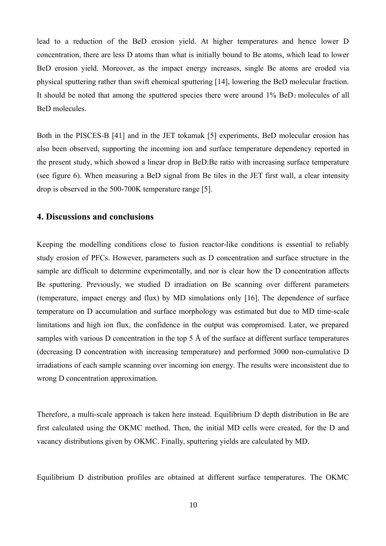lead to a reduction of the BeD erosion yield. At higher temperatures and hence lower D concentration, there are less D atoms than what is initially bound to Be atoms, which lead to lower BeD erosion yield. Moreover, as the impact energy increases, single Be atoms are eroded via physical sputtering rather than swift chemical sputtering [14], lowering the BeD molecular fraction. It should be noted that among the sputtered species there were around 1% BeD2 molecules of all BeD molecules.

Both in the PISCES-B [41] and in the JET tokamak [5] experiments, BeD molecular erosion has also been observed, supporting the incoming ion and surface temperature dependency reported in the present study, which showed a linear drop in BeD:Be ratio with increasing surface temperature (see figure 6). When measuring a BeD signal from Be tiles in the JET first wall, a clear intensity drop is observed in the 500-700K temperature range [5].

### **4. Discussions and conclusions**

Keeping the modelling conditions close to fusion reactor-like conditions is essential to reliably study erosion of PFCs. However, parameters such as D concentration and surface structure in the sample are difficult to determine experimentally, and nor is clear how the D concentration affects Be sputtering. Previously, we studied D irradiation on Be scanning over different parameters (temperature, impact energy and flux) by MD simulations only [16]. The dependence of surface temperature on D accumulation and surface morphology was estimated but due to MD time-scale limitations and high ion flux, the confidence in the output was compromised. Later, we prepared samples with various D concentration in the top 5 Å of the surface at different surface temperatures (decreasing D concentration with increasing temperature) and performed 3000 non-cumulative D irradiations of each sample scanning over incoming ion energy. The results were inconsistent due to wrong D concentration approximation.

Therefore, a multi-scale approach is taken here instead. Equilibrium D depth distribution in Be are first calculated using the OKMC method. Then, the initial MD cells were created, for the D and vacancy distributions given by OKMC. Finally, sputtering yields are calculated by MD.

Equilibrium D distribution profiles are obtained at different surface temperatures. The OKMC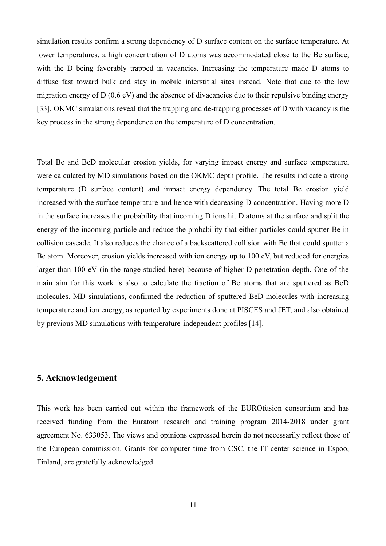simulation results confirm a strong dependency of D surface content on the surface temperature. At lower temperatures, a high concentration of D atoms was accommodated close to the Be surface, with the D being favorably trapped in vacancies. Increasing the temperature made D atoms to diffuse fast toward bulk and stay in mobile interstitial sites instead. Note that due to the low migration energy of D (0.6 eV) and the absence of divacancies due to their repulsive binding energy [33], OKMC simulations reveal that the trapping and de-trapping processes of D with vacancy is the key process in the strong dependence on the temperature of D concentration.

Total Be and BeD molecular erosion yields, for varying impact energy and surface temperature, were calculated by MD simulations based on the OKMC depth profile. The results indicate a strong temperature (D surface content) and impact energy dependency. The total Be erosion yield increased with the surface temperature and hence with decreasing D concentration. Having more D in the surface increases the probability that incoming D ions hit D atoms at the surface and split the energy of the incoming particle and reduce the probability that either particles could sputter Be in collision cascade. It also reduces the chance of a backscattered collision with Be that could sputter a Be atom. Moreover, erosion yields increased with ion energy up to 100 eV, but reduced for energies larger than 100 eV (in the range studied here) because of higher D penetration depth. One of the main aim for this work is also to calculate the fraction of Be atoms that are sputtered as BeD molecules. MD simulations, confirmed the reduction of sputtered BeD molecules with increasing temperature and ion energy, as reported by experiments done at PISCES and JET, and also obtained by previous MD simulations with temperature-independent profiles [14].

#### **5. Acknowledgement**

This work has been carried out within the framework of the EUROfusion consortium and has received funding from the Euratom research and training program 2014-2018 under grant agreement No. 633053. The views and opinions expressed herein do not necessarily reflect those of the European commission. Grants for computer time from CSC, the IT center science in Espoo, Finland, are gratefully acknowledged.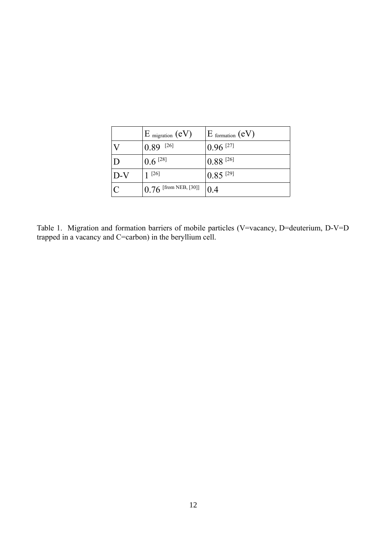|       | $E$ migration $(eV)$     | $E$ formation $(eV)$    |
|-------|--------------------------|-------------------------|
|       | $10.89$ <sup>[26]</sup>  | $10.96$ <sup>[27]</sup> |
|       | $10.6$ [28]              | $10.88$ <sup>[26]</sup> |
| $D-V$ | $[26]$                   | $10.85$ <sup>[29]</sup> |
|       | $[0.76$ [from NEB, [30]] | 0.4                     |

Table 1. Migration and formation barriers of mobile particles (V=vacancy, D=deuterium, D-V=D trapped in a vacancy and C=carbon) in the beryllium cell.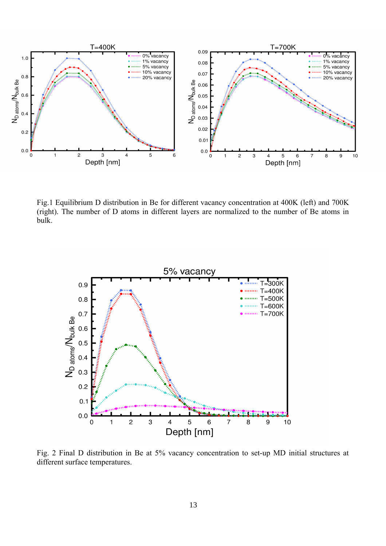

Fig.1 Equilibrium D distribution in Be for different vacancy concentration at 400K (left) and 700K (right). The number of D atoms in different layers are normalized to the number of Be atoms in bulk.



Fig. 2 Final D distribution in Be at 5% vacancy concentration to set-up MD initial structures at different surface temperatures.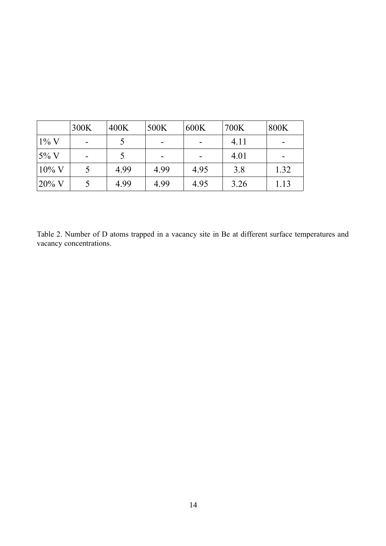|                   | 300K | 400K | 500K | 600K | 700K | 800K |
|-------------------|------|------|------|------|------|------|
| $1\%$ V           |      |      |      |      | 4.11 |      |
| $5\%$ V           |      |      |      |      | 4.01 |      |
| $10\%$ V          |      | 4.99 | 4.99 | 4.95 | 3.8  | 1.32 |
| $ 20\% \text{ V}$ |      | 4.99 | 4.99 | 4.95 | 3.26 | 1.13 |

Table 2. Number of D atoms trapped in a vacancy site in Be at different surface temperatures and vacancy concentrations.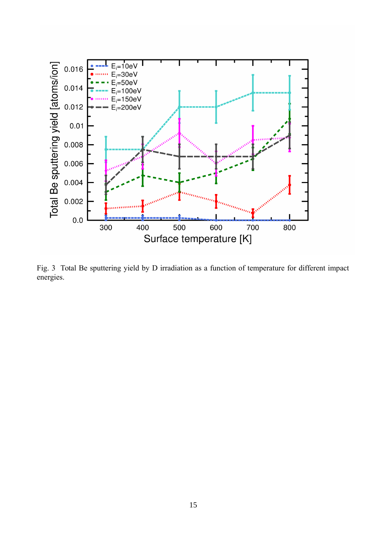

Fig. 3 Total Be sputtering yield by D irradiation as a function of temperature for different impact energies.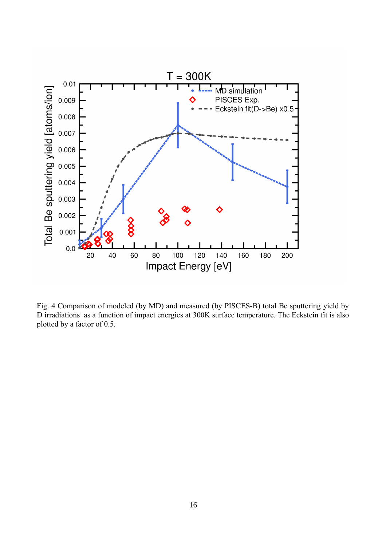

Fig. 4 Comparison of modeled (by MD) and measured (by PISCES-B) total Be sputtering yield by D irradiations as a function of impact energies at 300K surface temperature. The Eckstein fit is also plotted by a factor of 0.5.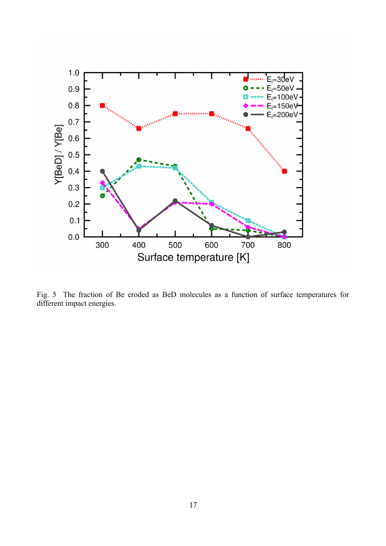

Fig. 5 The fraction of Be eroded as BeD molecules as a function of surface temperatures for different impact energies.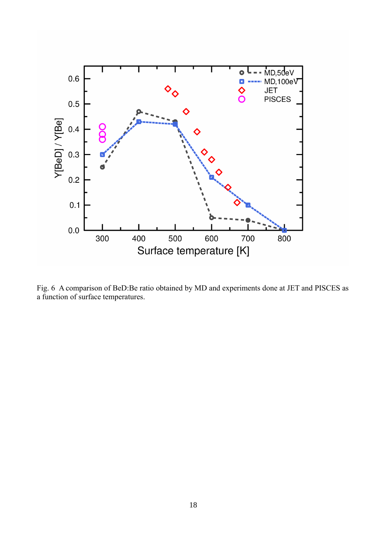

Fig. 6 A comparison of BeD:Be ratio obtained by MD and experiments done at JET and PISCES as a function of surface temperatures.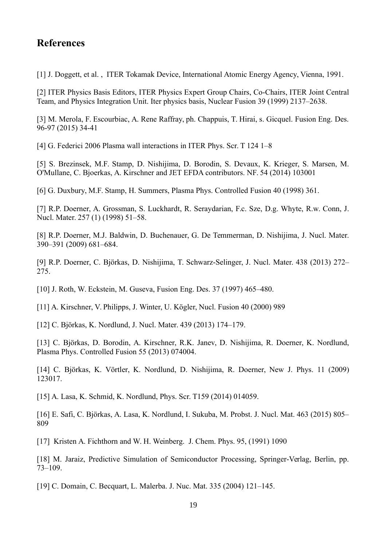# **References**

[1] J. Doggett, et al. , ITER Tokamak Device, International Atomic Energy Agency, Vienna, 1991.

[2] ITER Physics Basis Editors, ITER Physics Expert Group Chairs, Co-Chairs, ITER Joint Central Team, and Physics Integration Unit. Iter physics basis, Nuclear Fusion 39 (1999) 2137–2638.

[3] M. Merola, F. Escourbiac, A. Rene Raffray, ph. Chappuis, T. Hirai, s. Gicquel. Fusion Eng. Des. 96-97 (2015) 34-41

[4] G. Federici 2006 Plasma wall interactions in ITER Phys. Scr. T 124 1–8

[5] S. Brezinsek, M.F. Stamp, D. Nishijima, D. Borodin, S. Devaux, K. Krieger, S. Marsen, M. O'Mullane, C. Bjoerkas, A. Kirschner and JET EFDA contributors. NF. 54 (2014) 103001

[6] G. Duxbury, M.F. Stamp, H. Summers, Plasma Phys. Controlled Fusion 40 (1998) 361.

[7] R.P. Doerner, A. Grossman, S. Luckhardt, R. Seraydarian, F.c. Sze, D.g. Whyte, R.w. Conn, J. Nucl. Mater. 257 (1) (1998) 51–58.

[8] R.P. Doerner, M.J. Baldwin, D. Buchenauer, G. De Temmerman, D. Nishijima, J. Nucl. Mater. 390–391 (2009) 681–684.

[9] R.P. Doerner, C. Björkas, D. Nishijima, T. Schwarz-Selinger, J. Nucl. Mater. 438 (2013) 272– 275.

[10] J. Roth, W. Eckstein, M. Guseva, Fusion Eng. Des. 37 (1997) 465–480.

[11] A. Kirschner, V. Philipps, J. Winter, U. Kögler, Nucl. Fusion 40 (2000) 989

[12] C. Björkas, K. Nordlund, J. Nucl. Mater. 439 (2013) 174–179.

[13] C. Björkas, D. Borodin, A. Kirschner, R.K. Janev, D. Nishijima, R. Doerner, K. Nordlund, Plasma Phys. Controlled Fusion 55 (2013) 074004.

[14] C. Björkas, K. Vörtler, K. Nordlund, D. Nishijima, R. Doerner, New J. Phys. 11 (2009) 123017.

[15] A. Lasa, K. Schmid, K. Nordlund, Phys. Scr. T159 (2014) 014059.

[16] E. Safi, C. Björkas, A. Lasa, K. Nordlund, I. Sukuba, M. Probst. J. Nucl. Mat. 463 (2015) 805– 809

[17] Kristen A. Fichthorn and W. H. Weinberg. J. Chem. Phys. 95, (1991) 1090

[18] M. Jaraiz, Predictive Simulation of Semiconductor Processing, Springer-Verlag, Berlin, pp. 73–109.

[19] C. Domain, C. Becquart, L. Malerba. J. Nuc. Mat. 335 (2004) 121–145.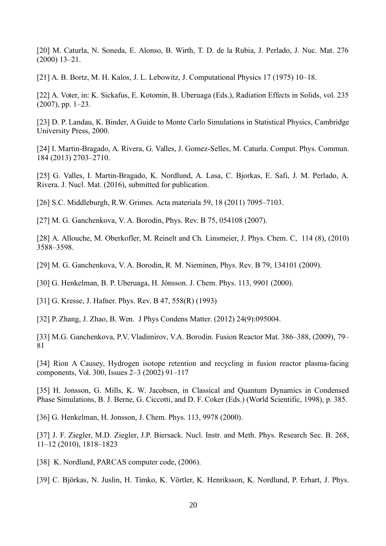[20] M. Caturla, N. Soneda, E. Alonso, B. Wirth, T. D. de la Rubia, J. Perlado, J. Nuc. Mat. 276 (2000) 13–21.

[21] A. B. Bortz, M. H. Kalos, J. L. Lebowitz, J. Computational Physics 17 (1975) 10–18.

[22] A. Voter, in: K. Sickafus, E. Kotomin, B. Uberuaga (Eds.), Radiation Effects in Solids, vol. 235 (2007), pp. 1–23.

[23] D. P. Landau, K. Binder, A Guide to Monte Carlo Simulations in Statistical Physics, Cambridge University Press, 2000.

[24] I. Martin-Bragado, A. Rivera, G. Valles, J. Gomez-Selles, M. Caturla. Comput. Phys. Commun. 184 (2013) 2703–2710.

[25] G. Valles, I. Martin-Bragado, K. Nordlund, A. Lasa, C. Bjorkas, E. Safi, J. M. Perlado, A. Rivera. J. Nucl. Mat. (2016), submitted for publication.

[26] S.C. Middleburgh, R.W. Grimes. Acta materiala 59, 18 (2011) 7095–7103.

[27] M. G. Ganchenkova, V. A. Borodin, Phys. Rev. B 75, 054108 (2007).

[28] A. Allouche, M. Oberkofler, M. Reinelt and Ch. Linsmeier, J. Phys. Chem. C, 114 (8), (2010) 3588–3598.

[29] M. G. Ganchenkova, V. A. Borodin, R. M. Nieminen, Phys. Rev. B 79, 134101 (2009).

[30] G. Henkelman, B. P. Uberuaga, H. Jónsson. J. Chem. Phys. 113, 9901 (2000).

[31] G. Kresse, J. Hafner. Phys. Rev. B 47, 558(R) (1993)

[32] P. Zhang, J. Zhao, B. Wen. J Phys Condens Matter. (2012) 24(9):095004.

[33] M.G. Ganchenkova, P.V. Vladimirov, V.A. Borodin. Fusion Reactor Mat. 386–388, (2009), 79– 81

[34] Rion A Causey, Hydrogen isotope retention and recycling in fusion reactor plasma-facing components, Vol. 300, Issues 2–3 (2002) 91–117

[35] H. Jonsson, G. Mills, K. W. Jacobsen, in Classical and Quantum Dynamics in Condensed Phase Simulations, B. J. Berne, G. Ciccotti, and D. F. Coker (Eds.) (World Scientific, 1998), p. 385.

[36] G. Henkelman, H. Jonsson, J. Chem. Phys. 113, 9978 (2000).

[37] J. F. Ziegler, M.D. Ziegler, J.P. Biersack. Nucl. Instr. and Meth. Phys. Research Sec. B. 268, 11–12 (2010), 1818–1823

[38] K. Nordlund, PARCAS computer code, (2006).

[39] C. Björkas, N. Juslin, H. Timko, K. Vörtler, K. Henriksson, K. Nordlund, P. Erhart, J. Phys.